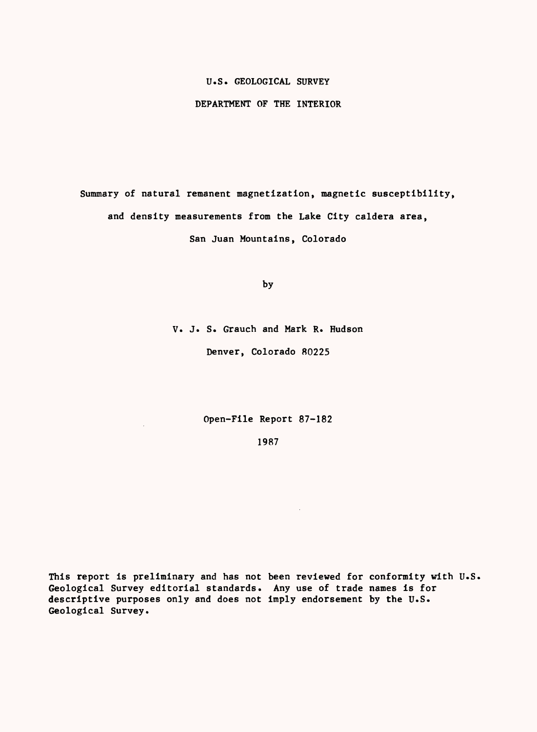## U.S. GEOLOGICAL SURVEY

## DEPARTMENT OF THE INTERIOR

Summary of natural remanent magnetization, magnetic susceptibility, and density measurements from the Lake City caldera area, San Juan Mountains, Colorado

by

V. J. S. Grauch and Mark R. Hudson

Denver, Colorado 80225

Open-File Report 87-182

 $\bar{z}$ 

1987

 $\sim$ 

This report is preliminary and has not been reviewed for conformity with U.S. Geological Survey editorial standards. Any use of trade names is for descriptive purposes only and does not imply endorsement by the U.S. Geological Survey.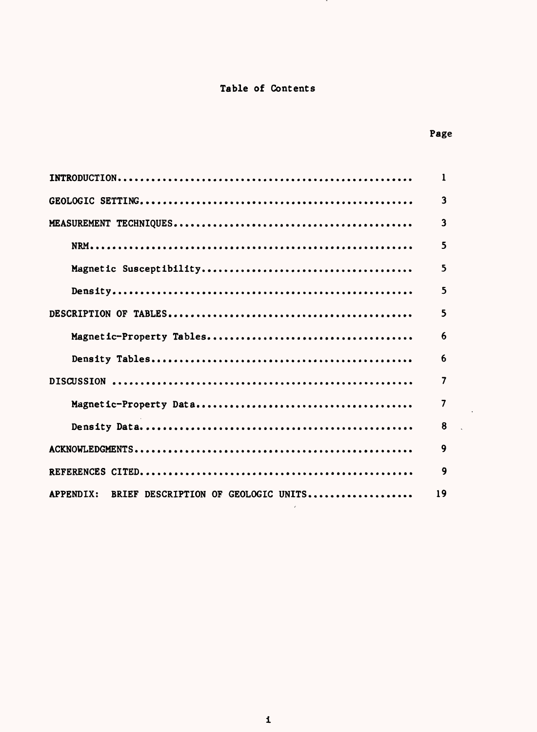## Table of Contents

<u>т</u>

|                                                  | $\mathbf{1}$            |
|--------------------------------------------------|-------------------------|
|                                                  | $\overline{\mathbf{3}}$ |
|                                                  | $\overline{\mathbf{3}}$ |
|                                                  | 5                       |
|                                                  | 5                       |
|                                                  | 5                       |
|                                                  | 5                       |
|                                                  | 6                       |
|                                                  | 6                       |
|                                                  | 7                       |
|                                                  | 7                       |
|                                                  | 8                       |
|                                                  | 9                       |
|                                                  | 9                       |
| BRIEF DESCRIPTION OF GEOLOGIC UNITS<br>APPENDIX: | 19                      |

 $\sim 200$ 

 $\pmb{\mathbf{i}}$ 

## Page

 $\sim$   $\sim$ 

 $\mathcal{L}$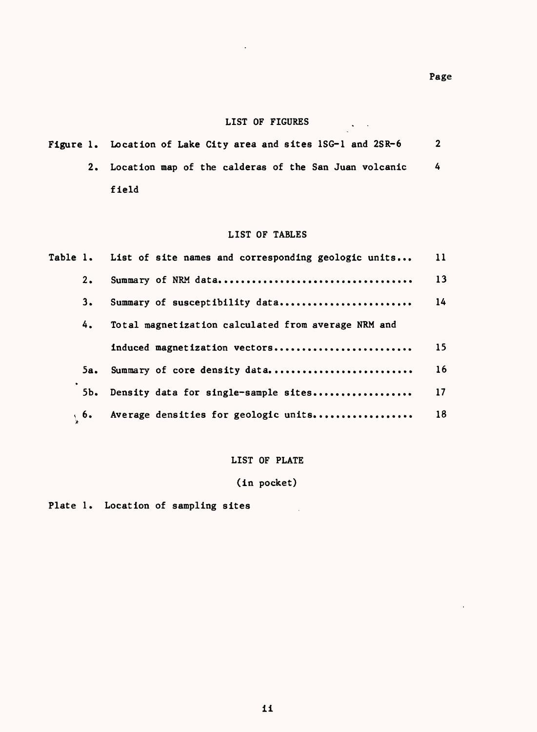$\sim$   $\sim$ 

 $\mathcal{A}=\mathcal{A}$  .

## LIST OF FIGURES

|  | Figure 1. Location of Lake City area and sites ISG-1 and 2SR-6 |   |
|--|----------------------------------------------------------------|---|
|  | 2. Location map of the calderas of the San Juan volcanic       | 4 |
|  | field                                                          |   |

 $\sim$  .

## LIST OF TABLES

|     | Table 1. List of site names and corresponding geologic units | 11 |
|-----|--------------------------------------------------------------|----|
| 2.  |                                                              | 13 |
| 3.  | Summary of susceptibility data                               | 14 |
| 4.  | Total magnetization calculated from average NRM and          |    |
|     | induced magnetization vectors                                | 15 |
| 5а. | Summary of core density data                                 | 16 |
| 5b. | Density data for single-sample sites                         | 17 |
| 6.6 | Average densities for geologic units                         | 18 |

## LIST OF PLATE

# (in pocket)

Plate 1. Location of sampling sites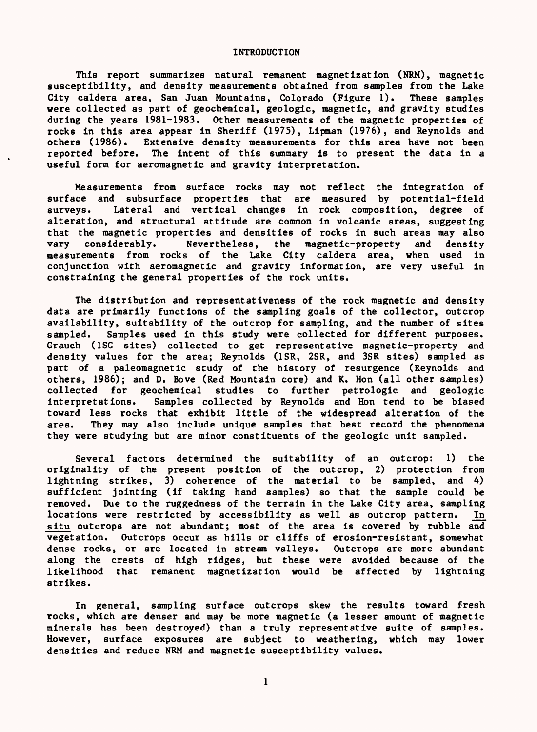#### INTRODUCTION

This report summarizes natural remanent magnetization (NRM), magnetic susceptibility, and density measurements obtained from samples from the Lake City caldera area, San Juan Mountains, Colorado (Figure 1). These samples were collected as part of geochemical, geologic, magnetic, and gravity studies during the years 1981-1983. Other measurements of the magnetic properties of rocks in this area appear in Sheriff (1975), Lipman (1976), and Reynolds and others (1986). Extensive density measurements for this area have not been reported before. The intent of this summary is to present the data in a useful form for aeromagnetic and gravity interpretation.

Measurements from surface rocks may not reflect the integration of surface and subsurface properties that are measured by potential-field surveys. Lateral and vertical changes in rock composition, degree of alteration, and structural attitude are common in volcanic areas, suggesting that the magnetic properties and densities of rocks in such areas may also vary considerably. Nevertheless, the magnetic-property and density measurements from rocks of the Lake City caldera area, when used in conjunction with aeromagnetic and gravity information, are very useful in constraining the general properties of the rock units.

The distribution and representativeness of the rock magnetic and density data are primarily functions of the sampling goals of the collector, outcrop availability, suitability of the outcrop for sampling, and the number of sites sampled. Samples used in this study were collected for different purposes. Grauch (1SG sites) collected to get representative magnetic-property and density values for the area; Reynolds (1SR, 2SR, and 3SR sites) sampled as part of a paleomagnetic study of the history of resurgence (Reynolds and others, 1986); and D. Bove (Red Mountain core) and K. Hon (all other samples) collected for geochemical studies to further petrologic and geologic interpretations. Samples collected by Reynolds and Hon tend to be biased toward less rocks that exhibit little of the widespread alteration of the area. They may also include unique samples that best record the phenomena they were studying but are minor constituents of the geologic unit sampled.

Several factors determined the suitability of an outcrop: 1) the originality of the present position of the outcrop, 2) protection from lightning strikes, 3) coherence of the material to be sampled, and 4) sufficient jointing (if taking hand samples) so that the sample could be removed. Due to the ruggedness of the terrain in the Lake City area, sampling locations were restricted by accessibility as well as outcrop pattern. In situ outcrops are not abundant; most of the area is covered by rubble and vegetation. Outcrops occur as hills or cliffs of erosion-resistant, somewhat dense rocks, or are located in stream valleys. Outcrops are more abundant along the crests of high ridges, but these were avoided because of the likelihood that remanent magnetization would be affected by lightning strikes.

In general, sampling surface outcrops skew the results toward fresh rocks, which are denser and may be more magnetic (a lesser amount of magnetic minerals has been destroyed) than a truly representative suite of samples. However, surface exposures are subject to weathering, which may lower densities and reduce NRM and magnetic susceptibility values.

 $\mathbf{1}$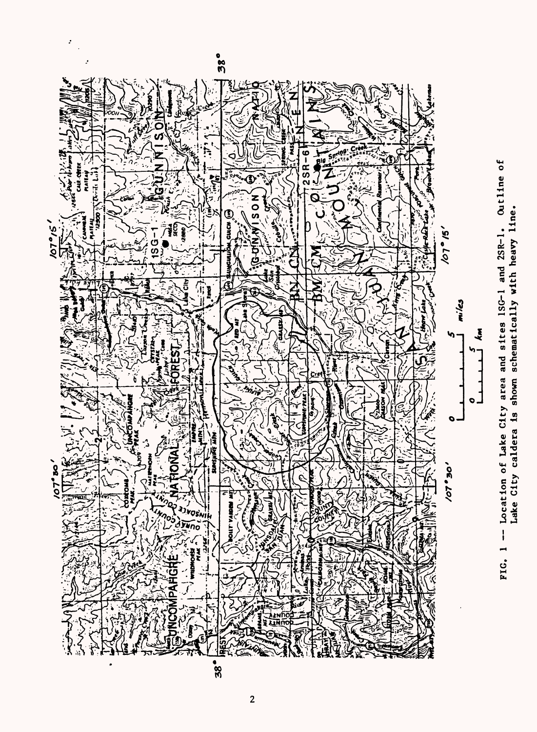

 $\cdot$ 

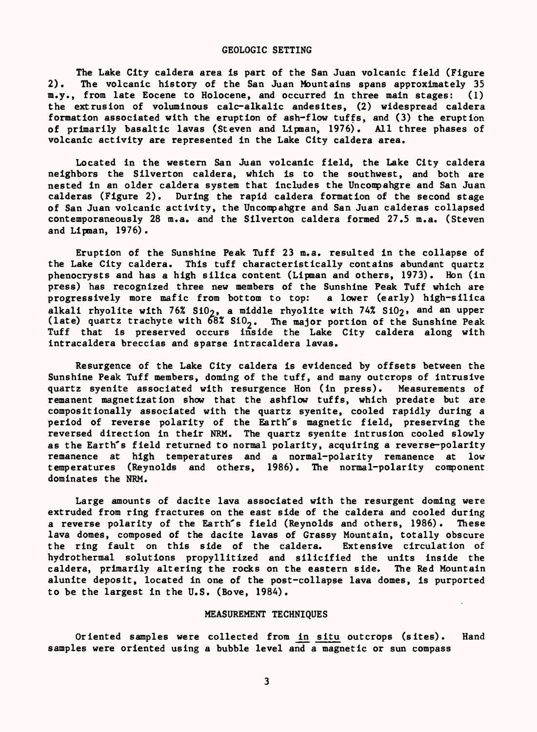#### GEOLOGIC SETTING

The Lake City caldera area is part of the San Juan volcanic field (Figure 2). The volcanic history of the San Juan Mountains spans approximately 35 m.y., from late Eocene to Holocene, and occurred in three main stages: (1) the extrusion of voluminous calc-alkalic andesites, (2) widespread caldera formation associated with the eruption of ash-flow tuffs, and (3) the eruption of primarily basaltic lavas (Steven and Lipman, 1976). All three phases of volcanic activity are represented in the Lake City caldera area.

Located in the western San Juan volcanic field, the Lake City caldera neighbors the Silverton caldera, which is to the southwest, and both are nested in an older caldera system that includes the Uncompahgre and San Juan calderas (Figure 2). During the rapid caldera formation of the second stage of San Juan volcanic activity, the Uncompahgre and San Juan calderas collapsed contemporaneously 28 m.a. and the Silverton caldera formed 27.5 m.a. (Steven and Lipman, 1976).

Eruption of the Sunshine Peak Tuff 23 m.a. resulted in the collapse of the Lake City caldera. This tuff characteristically contains abundant quartz phenocrysts and has a high silica content (Lipman and others, 1973). Hon (in press) has recognized three new members of the Sunshine Peak Tuff which are progressively more mafic from bottom to top: a lower (early) high-silica alkali rhyolite with  $76%$  SiO<sub>2</sub>, a middle rhyolite with  $74%$  SiO<sub>2</sub>, and an upper (late) quartz trachyte with  $68\%$  SiO<sub>2</sub>. The major portion of the Sunshine Peak Tuff that is preserved occurs inside the Lake City caldera along with intracaldera breccias and sparse intracaldera lavas.

Resurgence of the Lake City caldera is evidenced by offsets between the Sunshine Peak Tuff members, doming of the tuff, and many outcrops of intrusive quartz syenite associated with resurgence Hon (in press). Measurements of remanent magnetization show that the ashflow tuffs, which predate but are compositionally associated with the quartz syenite, cooled rapidly during a period of reverse polarity of the Earth's magnetic field, preserving the reversed direction in their NRM. The quartz syenite intrusion cooled slowly as the Earth's field returned to normal polarity, acquiring a reverse-polarity remanence at high temperatures and a normal-polarity remanence at low temperatures (Reynolds and others, 1986). The normal-polarity component dominates the NRM.

Large amounts of dacite lava associated with the resurgent doming were extruded from ring fractures on the east side of the caldera and cooled during a reverse polarity of the Earth's field (Reynolds and others, 1986). These lava domes, composed of the dacite lavas of Grassy Mountain, totally obscure the ring fault on this side of the caldera. Extensive circulation of hydrothermal solutions propyllitized and silicified the units inside the caldera, primarily altering the rocks on the eastern side. The Red Mountain alunite deposit, located in one of the post-collapse lava domes, is purported to be the largest in the U.S. (Bove, 1984).

### MEASUREMENT TECHNIQUES

Oriented samples were collected from in situ outcrops (sites). Hand samples were oriented using a bubble level and a magnetic or sun compass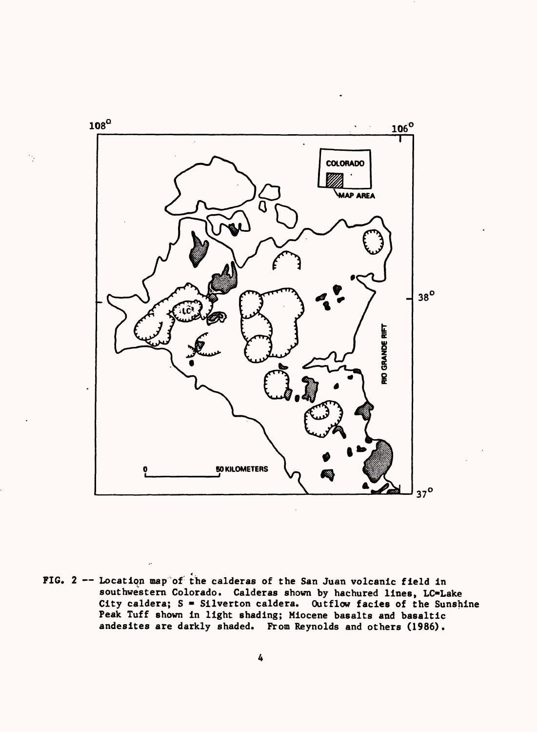

FIG.  $2$  -- Location map of the calderas of the San Juan volcanic field in southwestern Colorado. Calderas shown by hachured lines, LC=Lake City caldera;  $S =$  Silverton caldera. Outflow facies of the Sunshine Peak Tuff shown in light shading; Miocene basalts and basaltic andesites are darkly shaded. From Reynolds and others (1986).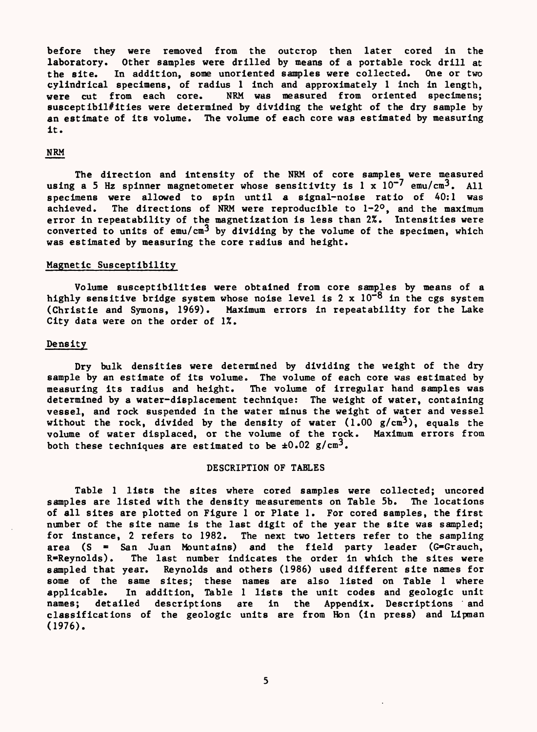before they were removed from the outcrop then later cored in the laboratory. Other samples were drilled by means of a portable rock drill at the site. In addition, some unoriented samples were collected. One or two the site. In addition, some unoriented samples were collected. cylindrical specimens, of radius 1 inch and approximately 1 inch in length, were cut from each core. NRM was measured from oriented specimens: NRM was measured from oriented specimens; susceptibil $#$ ities were determined by dividing the weight of the dry sample by an estimate of its volume. The volume of each core was estimated by measuring it.

## NRM

The direction and intensity of the NRM of core samples were measured using a 5 Hz spinner magnetometer whose sensitivity is  $1 \times 10^{-7}$  emu/cm<sup>3</sup>. All specimens were allowed to spin until a signal-noise ratio of 40:1 was achieved. The directions of NRM were reproducible to 1-2°, and the maximum error in repeatability of the magnetization is less than 2%. Intensities were converted to units of  $emu/cm^3$  by dividing by the volume of the specimen, which was estimated by measuring the core radius and height.

### Magnetic Susceptibility

Volume susceptibilities were obtained from core samples by means of a highly sensitive bridge system whose noise level is 2 x  $10^{-8}$  in the cgs system (Christie and Symons, 1969). Maximum errors in repeatability for the Lake City data were on the order of 1%.

#### Density

Dry bulk densities were determined by dividing the weight of the dry sample by an estimate of its volume. The volume of each core was estimated by measuring its radius and height. The volume of irregular hand samples was determined by a water-displacement technique: The weight of water, containing vessel, and rock suspended in the water minus the weight of water and vessel without the rock, divided by the density of water  $(1.00 \text{ g/cm}^3)$ , equals the volume of water displaced, or the volume of the rock. Maximum errors from both these techniques are estimated to be  $\pm 0.02$  g/cm<sup>3</sup>.

### DESCRIPTION OF TABLES

Table 1 lists the sites where cored samples were collected; uncored samples are listed with the density measurements on Table 5b. The locations of all sites are plotted on Figure 1 or Plate 1. For cored samples, the first number of the site name is the last digit of the year the site was sampled; for instance, 2 refers to 1982. The next two letters refer to the sampling area (S = San Juan Mountains) and the field party leader (G=Grauch,  $R = R$ eynolds). The last number indicates the order in which the sites were sampled that year. Reynolds and others (1986) used different site names for some of the same sites; these names are also listed on Table 1 where applicable. In addition, Table 1 lists the unit codes and geologic unit names; detailed descriptions are in the Appendix. Descriptions and classifications of the geologic units are from Hon (in press) and Llpman (1976).

5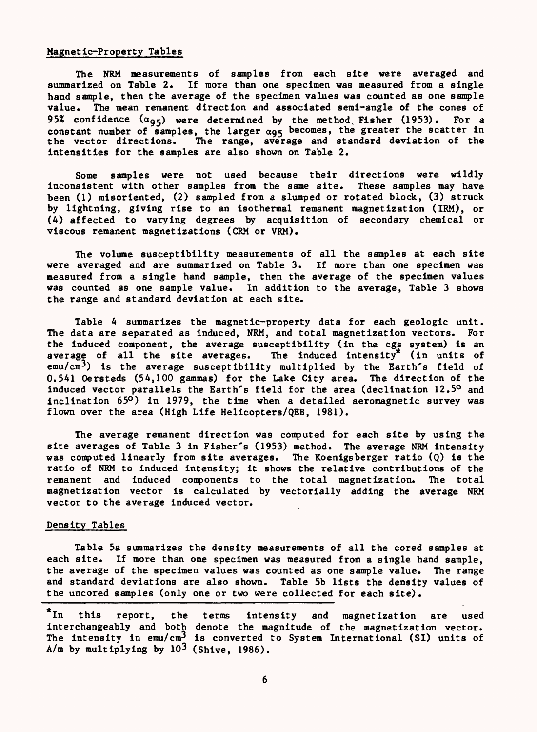## Magnetic-Property Tables

The NRM measurements of samples from each site were averaged and summarized on Table 2. If more than one specimen was measured from a single hand sample, then the average of the specimen values was counted as one sample value. The mean remanent direction and associated semi-angle of the cones of 95% confidence  $(a_{95})$  were determined by the method Fisher (1953). For a constant number of samples, the larger  $\alpha_{95}$  becomes, the greater the scatter in<br>the vector directions. The range, average and standard deviation of the The range, average and standard deviation of the intensities for the samples are also shown on Table 2.

Some samples were not used because their directions were wildly Inconsistent with other samples from the same site. These samples may have been (1) misoriented, (2) sampled from a slumped or rotated block, (3) struck by lightning, giving rise to an isothermal remanent magnetization (IRM), or (4) affected to varying degrees by acquisition of secondary chemical or viscous remanent magnetizations (CRM or VRM).

The volume susceptibility measurements of all the samples at each site were averaged and are summarized on Table 3. If more than one specimen was measured from a single hand sample, then the average of the specimen values was counted as one sample value. In addition to the average, Table 3 shows the range and standard deviation at each site.

Table 4 summarizes the magnetic-property data for each geologic unit. The data are separated as induced, NRM, and total magnetization vectors. For the induced component, the average susceptibility (in the cgs system) is an average of all the site averages. The induced intensity<sup>\*</sup> (in units of average of all the site averages.  $emu/cm<sup>3</sup>$ ) is the average susceptibility multiplied by the Earth's field of 0.541 Oersteds (54,100 gammas) for the Lake City area. The direction of the induced vector parallels the Earth's field for the area (declination 12.5° and Inclination 65°) in 1979, the time when a detailed aeromagnetic survey was flown over the area (High Life Helicopters/QEB, 1981).

The average remanent direction was computed for each site by using the site averages of Table 3 in Fisher's (1953) method. The average NRM intensity was computed linearly from site averages. The Koenigsberger ratio (Q) is the ratio of NRM to induced intensity; it shows the relative contributions of the remanent and induced components to the total magnetization. The total magnetization vector is calculated by vectorially adding the average NRM vector to the average induced vector.

### Density Tables

Table 5a summarizes the density measurements of all the cored samples at each site. If more than one specimen was measured from a single hand sample, the average of the specimen values was counted as one sample value. The range and standard deviations are also shown. Table 5b lists the density values of the uncored samples (only one or two were collected for each site).

<sup>\*</sup>In this report, the terms intensity and magnetization are used interchangeably and both denote the magnitude of the magnetization vector. The intensity in  $emu/cm<sup>3</sup>$  is converted to System International (SI) units of  $A/m$  by multiplying by  $10^3$  (Shive, 1986).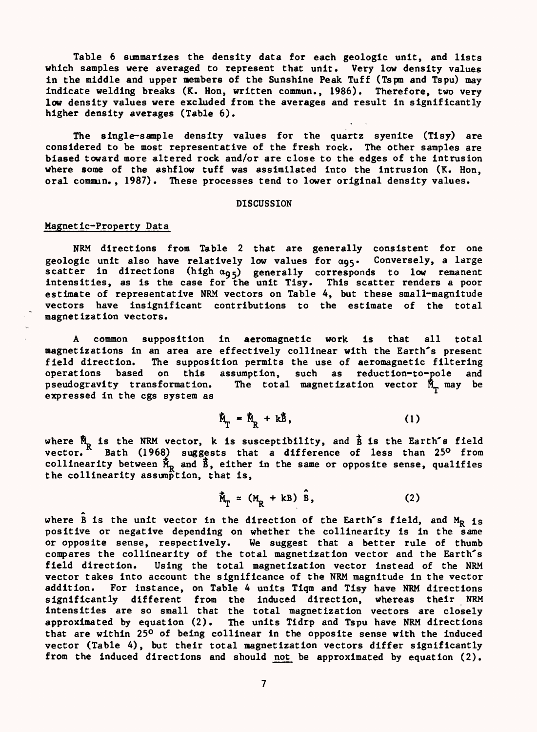Table 6 summarizes the density data for each geologic unit, and lists which samples were averaged to represent that unit. Very low density values in the middle and upper members of the Sunshine Peak Tuff (Tspm and Tspu) may indicate welding breaks (K. Hon, written commun., 1986). Therefore, two very low density values were excluded from the averages and result in significantly higher density averages (Table 6).

The single-sample density values for the quartz syenite (Tisy) are considered to be most representative of the fresh rock. The other samples are biased toward more altered rock and/or are close to the edges of the intrusion where some of the ashflow tuff was assimilated into the Intrusion (K. Hon, oral commun., 1987). These processes tend to lower original density values.

## DISCUSSION

## Magnetic-Property Data

NRM directions from Table 2 that are generally consistent for one geologic unit also have relatively low values for  $\alpha_{95}$ . Conversely, a large scatter in directions (high  $\alpha_{95}$ ) generally corresponds to low remanent Intensities, as is the case for the unit Tisy. This scatter renders a poor estimate of representative NRM vectors on Table 4, but these small-magnitude vectors have insignificant contributions to the estimate of the total magnetization vectors.

A common supposition in aeromagnetic work is that all total magnetizations in an area are effectively collinear with the Earth's present field direction. The supposition permits the use of aeromagnetic filtering operations based on this assumption, such as reduction-to-pole and pseudogravity transformation. The total magnetization vector  $\tilde{M}_m$  may be expressed in the cgs system as

$$
\dot{\mathbb{M}}_{\Gamma} = \dot{\mathbb{M}}_{R} + k\dot{\mathbb{B}}, \qquad (1)
$$

where  $M_p$  is the NRM vector, k is susceptibility, and  $\hat{B}$  is the Earth's field vector. Bath (1968) suggests that a difference of less than 25° from collinearity between  $\mathbb{M}_R$  and  $\mathbb{B}$ , either in the same or opposite sense, qualifies the collinearity assumption, that is,

$$
\tilde{M}_T \approx (M_R + kB) \tilde{B}, \qquad (2)
$$

where  $\hat{B}$  is the unit vector in the direction of the Earth's field, and  $M_R$  is positive or negative depending on whether the collinearity is in the same or opposite sense, respectively. We suggest that a better rule of thumb compares the collinearity of the total magnetization vector and the Earth's field direction. Using the total magnetization vector instead of the NRM vector takes into account the significance of the NRM magnitude in the vector addition. For instance, on Table 4 units Tiqm and Tisy have NRM directions significantly different from the induced direction, whereas their NRM intensities are so small that the total magnetization vectors are closely approximated by equation (2). The units Tldrp and Tspu have NRM directions that are within 25° of being collinear in the opposite sense with the induced vector (Table 4), but their total magnetization vectors differ significantly from the induced directions and should not be approximated by equation (2).

 $\overline{7}$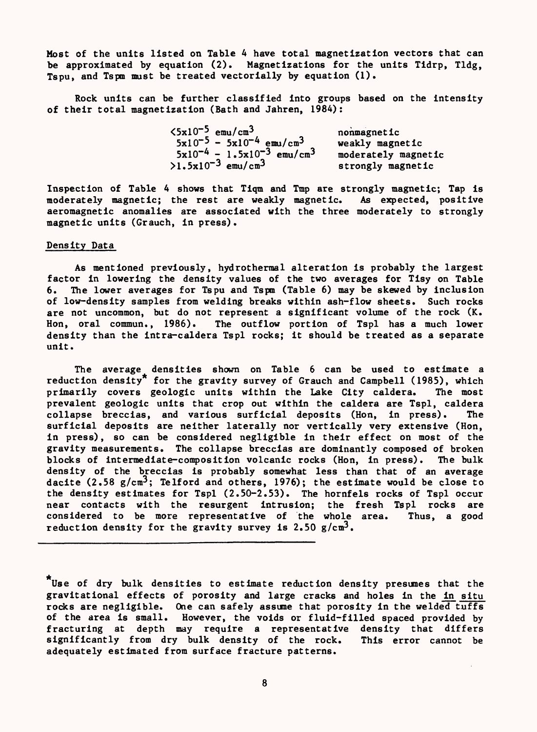Most of the units listed on Table 4 have total magnetization vectors that can be approximated by equation (2). Magnetizations for the units Tidrp, Tldg, Tspu, and Tspm must be treated vectorially by equation (1).

Rock units can be further classified into groups based on the intensity of their total magnetization (Bath and Jahren, 1984):

| $\langle 5x10^{-5}$ emu/cm <sup>3</sup>       | nonmagnetic         |
|-----------------------------------------------|---------------------|
| $5x10^{-5}$ - $5x10^{-4}$ emu/cm <sup>3</sup> | weakly magnetic     |
| $5x10^{-4} - 1.5x10^{-3}$ emu/cm <sup>3</sup> | moderately magnetic |
| $>1.5x10^{-3}$ emu/cm <sup>3</sup>            | strongly magnetic   |

Inspection of Table 4 shows that Tiqm and Tmp are strongly magnetic; Tap is moderately magnetic; the rest are weakly magnetic. As expected, positive aeromagnetic anomalies are associated with the three moderately to strongly magnetic units (Grauch, in press).

## Density Data

As mentioned previously, hydrothermal alteration is probably the largest factor in lowering the density values of the two averages for Tisy on Table 6. The lower averages for Tspu and Tspm (Table 6) may be skewed by inclusion of low-density samples from welding breaks within ash-flow sheets. Such rocks are not uncommon, but do not represent a significant volume of the rock (K. Hon, oral commun., 1986). The outflow portion of Tspl has a much lower density than the intra-caldera Tspl rocks; it should be treated as a separate unit.

The average densities shown on Table 6 can be used to estimate a reduction density\* for the gravity survey of Grauch and Campbell (1985), which primarily covers geologic units within the Lake City caldera. The most prevalent geologic units that crop out within the caldera are Tspl, caldera collapse breccias, and various surficial deposits (Hon, in press). The surficial deposits are neither laterally nor vertically very extensive (Hon, in press), so can be considered negligible in their effect on most of the gravity measurements. The collapse breccias are dominantly composed of broken blocks of intermediate-composition volcanic rocks (Hon, in press). The bulk density of the breccias is probably somewhat less than that of an average dacite (2.58  $g/cm^3$ ; Telford and others, 1976); the estimate would be close to the density estimates for Tspl (2.50-2.53). The hornfels rocks of Tspl occur near contacts with the resurgent intrusion; the fresh Tspl rocks are considered to be more representative of the whole area. Thus, a good reduction density for the gravity survey is  $2.50$  g/cm<sup>3</sup>.

Use of dry bulk densities to estimate reduction density presunes that the gravitational effects of porosity and large cracks and holes in the in situ rocks are negligible. One can safely assane that porosity in the welded tuffs of the area is small. However, the voids or fluid-filled spaced provided by fracturing at depth may require a representative density that differs significantly from dry bulk density of the rock. This error cannot be adequately estimated from surface fracture patterns.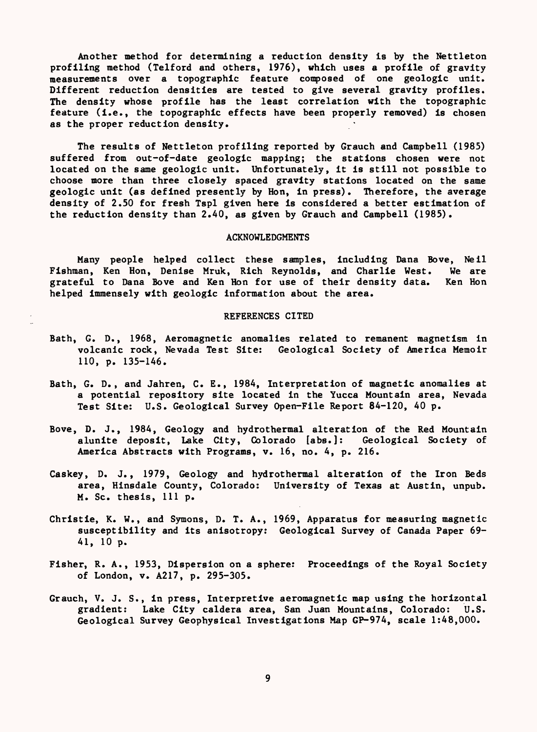Another method for determining a reduction density is by the Nettleton profiling method (Telford and others, 1976), which uses a profile of gravity measurements over a topographic feature composed of one geologic unit. Different reduction densities are tested to give several gravity profiles. The density whose profile has the least correlation with the topographic feature (i.e., the topographic effects have been properly removed) is chosen as the proper reduction density.

The results of Nettleton profiling reported by Grauch and Campbell (1985) suffered from out-of-date geologic mapping; the stations chosen were not located on the same geologic unit. Unfortunately, it is still not possible to choose more than three closely spaced gravity stations located on the same geologic unit (as defined presently by Hon, in press). Therefore, the average density of 2.50 for fresh Tspl given here is considered a better estimation of the reduction density than 2.40, as given by Grauch and Campbell (1985).

#### ACKNOWLEDGMENTS

Many people helped collect these samples, including Dana Bove, Nell Fishman, Ken Hon, Denise Mruk, Rich Reynolds, and Charlie West. We are grateful to Dana Bove and Ken Hon for use of their density data. Ken Hon grateful to Dana Bove and Ken Hon for use of their density data. helped immensely with geologic information about the area.

#### REFERENCES CITED

- Bath, G. D., 1968, Aeromagnetic anomalies related to remanent magnetism in volcanic rock, Nevada Test Site: Geological Society of America Memoir 110, p. 135-146.
- Bath, G. D., and Jahren, C. E., 1984, Interpretation of magnetic anomalies at a potential repository site located in the Yucca Mountain area, Nevada Test Site: U.S. Geological Survey Open-File Report 84-120, 40 p.
- Bove, D. J., 1984, Geology and hydrothermal alteration of the Red Mountain alunite deposit, Lake City, Colorado [abs.]: Geological Society of America Abstracts with Programs, v. 16, no. 4, p. 216.
- Caskey, D. J., 1979, Geology and hydrothermal alteration of the Iron Beds area, Hinsdale County, Colorado: University of Texas at Austin, unpub. M. Sc. thesis, 111 p.
- Christie, K. W., and Symons, D. T. A., 1969, Apparatus for measuring magnetic susceptibility and its anisotropy: Geological Survey of Canada Paper 69- 41, 10 p.
- Fisher, R. A., 1953, Dispersion on a sphere: Proceedings of the Royal Society of London, v. A217, p. 295-305.
- Grauch, V. J. S., in press, Interpretive aeromagnetic map using the horizontal gradient: Lake City caldera area, San Juan Mountains, Colorado: U.S. Geological Survey Geophysical Investigations Map GP-974, scale 1:48,000.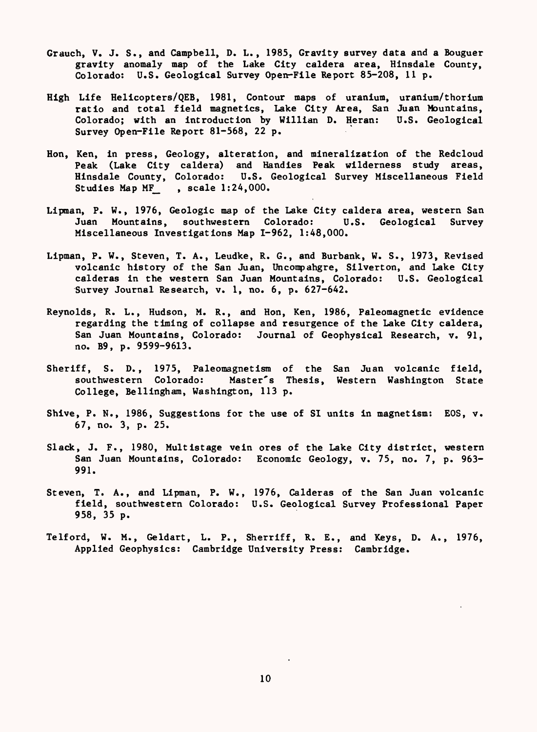- Grauch, V. J. S., and Campbell, D. L., 1985, Gravity survey data and a Bouguer gravity anomaly map of the Lake City caldera area, Hinsdale County, Colorado: U.S. Geological Survey Open-File Report 85-208, lip.
- High Life Helicopters/QEB, 1981, Contour maps of uranium, uranium/thorium ratio and total field magnetics, Lake City Area, San Juan Mountains, Colorado; with an Introduction by Willian D. Reran: U.S. Geological Survey Open-File Report 81-568, 22 p.
- Hon, Ken, in press, Geology, alteration, and mineralization of the Redcloud Peak (Lake City caldera) and Handles Peak wilderness study areas, Hinsdale County, Colorado: U.S. Geological Survey Miscellaneous Field Studies Map MF\_ , scale 1:24,000.
- Lipman, P. W., 1976, Geologic map of the Lake City caldera area, western San Juan Mountains, southwestern Colorado: U.S. Geological Survey Miscellaneous Investigations Map 1-962, 1:48,000.
- Lipman, P. W., Steven, T. A., Leudke, R. G., and Burbank, W. S., 1973, Revised volcanic history of the San Juan, Uncompahgre, Silverton, and Lake City calderas in the western San Juan Mountains, Colorado: U.S. Geological Survey Journal Research, v. 1, no. 6, p. 627-642.
- Reynolds, R. L., Hudson, M. R., and Hon, Ken, 1986, Paleomagnetic evidence regarding the timing of collapse and resurgence of the Lake City caldera, San Juan Mountains, Colorado: Journal of Geophysical Research, v. 91, no. B9, p. 9599-9613.
- Sheriff, S. D., 1975, Paleomagnetlsm of the San Juan volcanic field, southwestern Colorado: Master's Thesis, Western Washington State College, Belllngham, Washington, 113 p.
- Shive, P. N., 1986, Suggestions for the use of SI units in magnetism: EOS, v. 67, no. 3, p. 25.
- Slack, J. F., 1980, Multistage vein ores of the Lake City district, western San Juan Mountains, Colorado: Economic Geology, v. 75, no. 7, p. 963- 991.
- Steven, T. A., and Lipman, P. W., 1976, Calderas of the San Juan volcanic field, southwestern Colorado: U.S. Geological Survey Professional Paper 958, 35 p.
- Telford, W. M., Geldart, L. P., Sherriff, R. E., and Keys, D. A., 1976, Applied Geophysics: Cambridge University Press: Cambridge.

10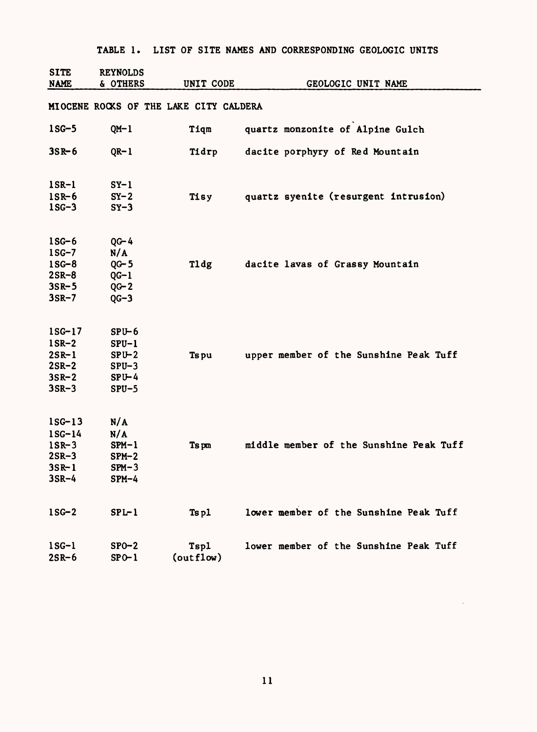| TABLE 1. LIST OF SITE NAMES AND CORRESPONDING GEOLOGIC UNITS |  |  |  |  |  |  |  |  |  |
|--------------------------------------------------------------|--|--|--|--|--|--|--|--|--|
|--------------------------------------------------------------|--|--|--|--|--|--|--|--|--|

| <b>SITE</b><br><b>NAME</b> | <b>REYNOLDS</b><br>& OTHERS | UNIT CODE                              | GEOLOGIC UNIT NAME                      |
|----------------------------|-----------------------------|----------------------------------------|-----------------------------------------|
|                            |                             |                                        |                                         |
|                            |                             | MIOCENE ROCKS OF THE LAKE CITY CALDERA |                                         |
| $1SG-5$                    | $QM-1$                      | Tiqm                                   | quartz monzonite of Alpine Gulch        |
| $35R - 6$                  | $QR-1$                      | Tidrp                                  | dacite porphyry of Red Mountain         |
| $1$ SR- $1$                | $SY-1$                      |                                        |                                         |
| $1$ SR-6<br>$1SC-3$        | $SY-2$<br>$SY-3$            | Tisy                                   | quartz syenite (resurgent intrusion)    |
| $1SG-6$                    | $QG - 4$                    |                                        |                                         |
| $1SG-7$                    | N/A                         |                                        |                                         |
| $1SG-8$                    | $QG - 5$                    | Tldg                                   | dacite lavas of Grassy Mountain         |
| $2SR-8$                    | $QG-1$                      |                                        |                                         |
| $3S_{R-5}$                 | $QG - 2$                    |                                        |                                         |
| $3SR-7$                    | $QG-3$                      |                                        |                                         |
| $1SG-17$                   | $SPU-6$                     |                                        |                                         |
| $1$ SR-2                   | $SPU-1$                     |                                        |                                         |
| $2S_{R-1}$                 | $SPU-2$                     | Ts pu                                  | upper member of the Sunshine Peak Tuff  |
| $2SR-2$                    | $SPU-3$                     |                                        |                                         |
| $3S_R - 2$                 | $SPU - 4$                   |                                        |                                         |
| $3SR-3$                    | $SPU-5$                     |                                        |                                         |
| $1$ SG- $13$               | N/A                         |                                        |                                         |
| $1SG-14$                   | N/A                         |                                        |                                         |
| $1$ SR-3                   | $SPM-1$                     | Ts pm                                  | middle member of the Sunshine Peak Tuff |
| $2SR-3$                    | $SPM-2$                     |                                        |                                         |
| $3S_{R-1}$                 | $SPM-3$                     |                                        |                                         |
| $3SR-4$                    | $SPM-4$                     |                                        |                                         |
| $1SG-2$                    | $SPL-1$                     | Tspl                                   | lower member of the Sunshine Peak Tuff  |
| $1SG-1$<br>$2S_{R-6}$      | $SPO-2$<br>$SPO-1$          | Tspl<br>(outflow)                      | lower member of the Sunshine Peak Tuff  |
|                            |                             |                                        |                                         |

11

 $\sim 10^{11}$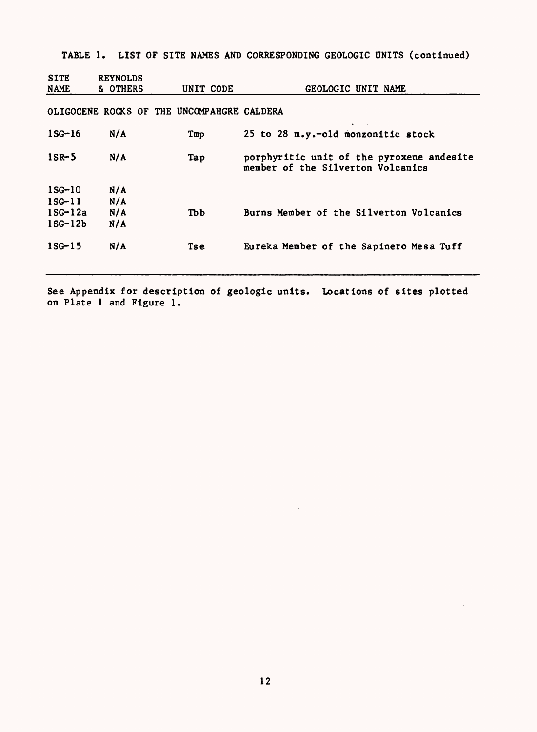TABLE 1. LIST OF SITE NAMES AND CORRESPONDING GEOLOGIC UNITS (continued)

| <b>SITE</b><br><b>NAME</b>                         | <b>REYNOLDS</b><br>& OTHERS | UNIT CODE                                  | GEOLOGIC UNIT NAME                                                             |
|----------------------------------------------------|-----------------------------|--------------------------------------------|--------------------------------------------------------------------------------|
|                                                    |                             | OLIGOCENE ROCKS OF THE UNCOMPAHGRE CALDERA |                                                                                |
| $1$ SG $-16$                                       | N/A                         | Tmp                                        | 25 to 28 m.y.-old monzonitic stock                                             |
| $1$ SR-5                                           | N/A                         | Tap                                        | porphyritic unit of the pyroxene andesite<br>member of the Silverton Volcanics |
| $1SG-10$<br>$1SG-11$<br>$1SG-12a$<br>$1$ SG- $12b$ | N/A<br>N/A<br>N/A<br>N/A    | тьь                                        | Burns Member of the Silverton Volcanics                                        |
| $1SG-15$                                           | N/A                         | Ts e                                       | Eureka Member of the Sapinero Mesa Tuff                                        |

See Appendix for description of geologic units. Locations of sites plotted on Plate 1 and Figure 1.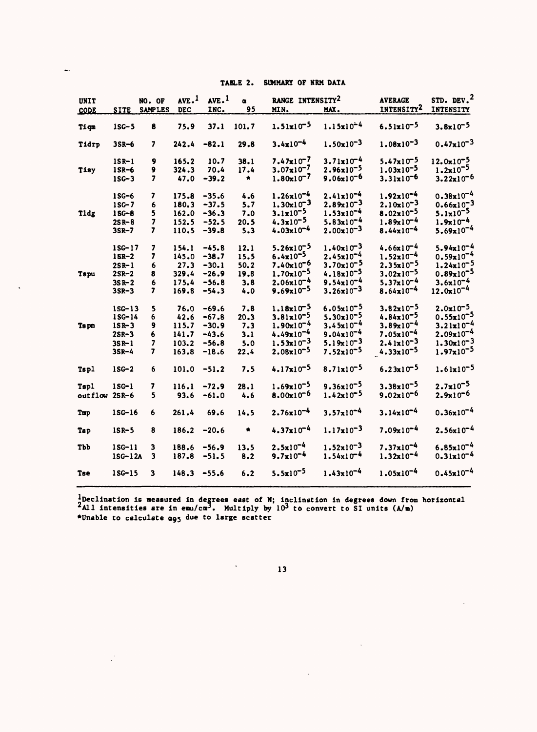| TABLE 2. SUMMARY OF NRM DATA |  |
|------------------------------|--|
|------------------------------|--|

| <b>UNIT</b>   |                          | NO. OF                       | $AVE.$ <sup>1</sup> | AVE. <sup>1</sup>  | $\alpha$     | RANGE INTENSITY <sup>2</sup>                   |                                                | <b>AVERAGE</b>                                 | STD. DEV. <sup>2</sup>                  |
|---------------|--------------------------|------------------------------|---------------------|--------------------|--------------|------------------------------------------------|------------------------------------------------|------------------------------------------------|-----------------------------------------|
| <b>CODE</b>   | <b>SITE</b>              | <b>SAMPLES</b>               | <b>DEC</b>          | INC.               | 95           | MIN.                                           | MAX.                                           | INTENSITY <sup>2</sup>                         | <b>INTENSITY</b>                        |
| Tiqm          | $1SC-5$                  | 8                            | 75.9                | 37.1               | 101.7        | $1.51 \times 10^{-5}$                          | $1.15x10^{-4}$                                 | $6.51x10^{-5}$                                 | $3.8x10^{-5}$                           |
| Tidrp         | $3SR-6$                  | 7                            | $242.4 -82.1$       |                    | 29.8         | $3.4x10^{-4}$                                  | $1.50 \times 10^{-3}$                          | $1.08 \times 10^{-3}$                          | $0.47 \times 10^{-3}$                   |
| Tisy          | $1$ SR-1<br>$1$ SR-6     | 9<br>9                       | 165.2<br>324.3      | 10.7<br>70.4       | 38.1<br>17.4 | $7.47 \times 10^{-7}$<br>$3.07 \times 10^{-7}$ | $3.71 \times 10^{-4}$<br>$2.96x10^{-5}$        | $5.47x10^{-5}$<br>$1.03x10^{-5}$               | $12.0x10^{-5}$<br>$1.2 \times 10^{-5}$  |
|               | $1SG-3$                  | 7                            | 47.0                | $-39.2$            | ₩.           | $1.80 \times 10^{-7}$                          | $9.06x10^{-6}$                                 | $3.31 \times 10^{-6}$                          | $3.22 \times 10^{-6}$                   |
|               | 1SG-6                    | 7                            | 175.8               | $-35.6$            | 4.6          | $1.26x10^{-4}$                                 | $2.41x10^{-4}$                                 | $1.92x10^{-4}$                                 | $0.38x10^{-4}$                          |
| Tldg          | $1SC-7$<br>$1SG-8$       | 6<br>5                       | 180.3<br>162.0      | $-37.5$<br>$-36.3$ | 5.7<br>7.0   | $1.30x10^{-3}$<br>$3.1 \times 10^{-5}$         | $2.89 \times 10^{-3}$<br>$1.53 \times 10^{-4}$ | $2.10 \times 10^{-3}$<br>$8.02 \times 10^{-5}$ | $0.66x10^{-3}$<br>$5.1 \times 10^{-5}$  |
|               | $2S_{R} - B$<br>$3S_R-7$ | 7<br>7                       | 152.5<br>110.5      | $-52.5$<br>$-39.8$ | 20.5<br>5.3  | $4.3 \times 10^{-5}$<br>$4.03x10^{-4}$         | $5.83x10^{-4}$<br>$2.00 \times 10^{-3}$        | $1.89x10^{-4}$<br>$8.44 \times 10^{-4}$        | $1.9x10^{-4}$<br>$5.69x10^{-4}$         |
|               | $1SG-17$                 | 7                            | 154.1               | $-45.8$            | 12.1         | $5.26x10^{-5}$                                 | $1.40x10^{-3}$                                 | $4.66x10^{-4}$                                 | $5.94x10^{-4}$                          |
|               | $1$ SR-2<br>$2$ SR-1     | 7<br>6                       | 145.0<br>27.3       | $-38.7$<br>$-30.1$ | 15.5<br>50.2 | $6.4 \times 10^{-5}$<br>$7.40x10^{-6}$         | $2.45x10^{-4}$<br>$3.70 \times 10^{-5}$        | $1.52 \times 10^{-4}$<br>$2.35x10^{-5}$        | $0.59x10^{-4}$<br>$1.24 \times 10^{-5}$ |
| Tspu          | $2$ SR-2<br>$3S_{R-2}$   | 8<br>6                       | 329.4<br>175.4      | $-26.9$<br>$-56.8$ | 19.8<br>3.8  | $1.70 \times 10^{-5}$<br>$2.06x10^{-4}$        | $4.18 \times 10^{-5}$<br>$9.54 \times 10^{-4}$ | $3.02 \times 10^{-5}$<br>$5.37x10^{-4}$        | $0.89x10^{-5}$<br>$3.6x10^{-4}$         |
|               | $3$ SR-3                 | 7                            | 169.8               | $-54.3$            | 4.0          | $9.69x10^{-5}$                                 | $3.26 \times 10^{-3}$                          | $8.64 \times 10^{-4}$                          | $12.0 \times 10^{-4}$                   |
|               | $1SG-13$<br>$1SG-14$     | 5<br>6                       | 76.0<br>42.6        | $-69.6$<br>$-67.8$ | 7.8<br>20.3  | $1.18x10^{-5}$<br>$3.81 \times 10^{-5}$        | $6.05x10^{-5}$<br>$5.30 \times 10^{-5}$        | $3.82x10^{-5}$<br>$4.84 \times 10^{-5}$        | $2.0x10^{-5}$<br>$0.55 \times 10^{-5}$  |
| Ts pm         | $1S_{R-}3$<br>$2$ SR-3   | 9<br>6                       | 115.7<br>141.7      | $-30.9$<br>$-43.6$ | 7.3<br>3.1   | $1.90x10^{-4}$<br>$4.49x10^{-4}$               | $3.45x10^{-4}$<br>$9.04 \times 10^{-4}$        | $3.89x10^{-4}$<br>$7.05x10^{-4}$               | $3.21 \times 10^{-4}$<br>$2.09x10^{-4}$ |
|               | $3S_{R-1}$<br>$3S_R-4$   | $\overline{\mathbf{z}}$<br>7 | 103.2<br>163.8      | $-56.8$<br>$-18.6$ | 5.0<br>22.4  | $1.53 \times 10^{-3}$<br>$2.08x10^{-5}$        | $5.19x10^{-3}$<br>$7.52 \times 10^{-5}$        | $2.41x10^{-3}$<br>$4.33 \times 10^{-5}$        | $1.30x10^{-3}$<br>$1.97x10^{-5}$        |
| Tsp1          | $1SC-2$                  | 6                            | $101.0 -51.2$       |                    | 7.5          | $4.17 \times 10^{-5}$                          | $8.71 \times 10^{-5}$                          | $6.23 \times 10^{-5}$                          | $1.61x10^{-5}$                          |
| <b>Tspl</b>   | $1SG-1$                  | 7                            | 116.1               | $-72.9$            | 28.1         | $1.69x10^{-5}$                                 | $9.36x10^{-5}$                                 | $3.38 \times 10^{-5}$                          | $2.7x10^{-5}$                           |
| outflow 2SR-6 |                          | 5                            | 93.6                | $-61.0$            | 4.6          | $8.00x10^{-6}$                                 | $1.42 \times 10^{-5}$                          | $9.02x10^{-6}$                                 | $2.9x10^{-6}$                           |
| Tmp           | $1SG-16$                 | 6                            | 261.4               | 69.6               | 14.5         | $2.76 \times 10^{-4}$                          | $3.57 \times 10^{-4}$                          | $3.14 \times 10^{-4}$                          | $0.36x10^{-4}$                          |
| Tap           | $1S_{R-5}$               | 8                            | 186.2               | $-20.6$            | $\star$      | $4.37x10^{-4}$                                 | $1.17 \times 10^{-3}$                          | $7.09x10^{-4}$                                 | $2.56x10^{-4}$                          |
| Tbb           | $1SG-11$<br>$1SG-12A$    | 3<br>3                       | 188.6<br>187.8      | $-56.9$<br>$-51.5$ | 13.5<br>8.2  | $2.5x10^{-4}$<br>$9.7x10^{-4}$                 | $1.52 \times 10^{-3}$<br>$1.54x10^{-4}$        | $7.37 \times 10^{-4}$<br>$1.32 \times 10^{-4}$ | $6.85 \times 10^{-4}$<br>$0.31x10^{-4}$ |
| Tse           | $1$ SG- $15$             | 3                            | $148.3 - 55.6$      |                    | 6.2          | $5.5x10^{-5}$                                  | $1.43 \times 10^{-4}$                          | $1.05x10^{-4}$                                 | $0.45x10^{-4}$                          |

^Declination is measured in degrees east of N; Inclination in degrees down from horizontal  $A11$  intensities are in emu/cm<sup>3</sup>. Multiply by  $10<sup>3</sup>$  to convert to SI units (A/m) \*Unable to calculate 095 due to large scatter

 $\ddot{\phantom{0}}$ 

 $\mathcal{L}^{(1)}$ 

13

 $\sim$ 

 $\ddot{\phantom{a}}$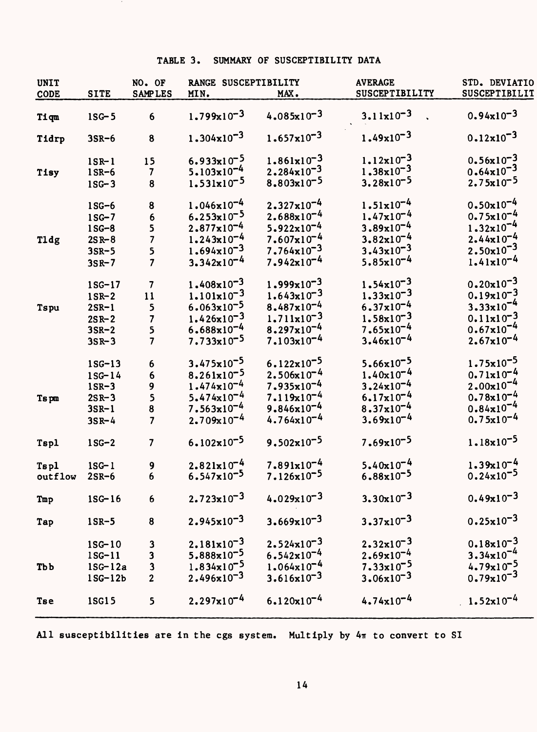## TABLE 3. SUMMARY OF SUSCEPTIBILITY DATA

| <b>UNIT</b> |              | NO. OF                  | RANGE SUSCEPTIBILITY   |                        | <b>AVERAGE</b>        | STD. DEVIATIO         |
|-------------|--------------|-------------------------|------------------------|------------------------|-----------------------|-----------------------|
| <b>CODE</b> | <b>SITE</b>  | <b>SAMPLES</b>          | MIN.                   | MAX.                   | SUSCEPTIBILITY        | SUSCEPTIBILIT         |
| mpiT        | $1SG-5$      | $6\phantom{1}$          | $1.799x10^{-3}$        | $4.085x10^{-3}$        | $3.11 \times 10^{-3}$ | $0.94x10^{-3}$        |
| Tidrp       | $3SR-6$      | 8                       | $1.304 \times 10^{-3}$ | $1.657 \times 10^{-3}$ | $1.49x10^{-3}$        | $0.12 \times 10^{-3}$ |
|             | $1$ SR- $1$  | 15                      | $6.933 \times 10^{-5}$ | $1.861x10^{-3}$        | $1.12 \times 10^{-3}$ | $0.56x10^{-3}$        |
| Tisy        | $1$ SR-6     | $\mathbf{7}$            | $5.103 \times 10^{-4}$ | $2.284 \times 10^{-3}$ | $1.38 \times 10^{-3}$ | $0.64 \times 10^{-3}$ |
|             | $1SG-3$      | 8                       | $1.531x10^{-5}$        | $8.803x10^{-5}$        | $3.28x10^{-5}$        | $2.75x10^{-5}$        |
|             | $1SG-6$      | 8                       | $1.046 \times 10^{-4}$ | $2.327 \times 10^{-4}$ | $1.51 \times 10^{-4}$ | $0.50x10^{-4}$        |
|             | $1SC-7$      | 6                       | $6.253 \times 10^{-5}$ | $2.688 \times 10^{-4}$ | $1.47x10^{-4}$        | $0.75x10^{-4}$        |
|             | $1SG-8$      | 5                       | $2.877 \times 10^{-4}$ | $5.922 \times 10^{-4}$ | $3.89x10^{-4}$        | $1.32 \times 10^{-4}$ |
| Tldg        | $2S R - 8$   | $\overline{7}$          | $1.243x10^{-4}$        | $7.607x10^{-4}$        | $3.82 \times 10^{-4}$ | $2.44x10^{-4}$        |
|             | $3SR-5$      | 5                       | $1.694 \times 10^{-3}$ | $7.764 \times 10^{-3}$ | $3.43x10^{-3}$        | $2.50x10^{-3}$        |
|             | $3S_R - 7$   | $\overline{7}$          | $3.342 \times 10^{-4}$ | $7.942 \times 10^{-4}$ | $5.85x10^{-4}$        | $1.41x10^{-4}$        |
|             | $1$ SG-17    | $\overline{\mathbf{7}}$ | $1.408 \times 10^{-3}$ | $1.999x10^{-3}$        | $1.54 \times 10^{-3}$ | $0.20x10^{-3}$        |
|             | $1$ SR-2     | 11                      | $1.101 \times 10^{-3}$ | $1.643x10^{-3}$        | $1.33 \times 10^{-3}$ | $0.19x10^{-3}$        |
| Tspu        | $2SR-1$      | 5                       | $6.063 \times 10^{-5}$ | $8.487 \times 10^{-4}$ | $6.37 \times 10^{-4}$ | $3.33x10^{-4}$        |
|             | $2S_{R}$ -2  | 7                       | $1.426x10^{-3}$        | $1.711 \times 10^{-3}$ | $1.58x10^{-3}$        | $0.11x10^{-3}$        |
|             | $3SR-2$      | 5                       | $6.688 \times 10^{-4}$ | $8.297x10^{-4}$        | $7.65x10^{-4}$        | $0.67 \times 10^{-4}$ |
|             | $3S_{R} - 3$ | $\overline{7}$          | $7.733 \times 10^{-5}$ | $7.103x10^{-4}$        | $3.46x10^{-4}$        | $2.67x10^{-4}$        |
|             | $1SG-13$     | 6                       | $3.475 \times 10^{-5}$ | $6.122 \times 10^{-5}$ | $5.66x10^{-5}$        | $1.75 \times 10^{-5}$ |
|             | $1SG-14$     | 6                       | $8.261x10^{-5}$        | $2.506x10^{-4}$        | $1.40x10^{-4}$        | $0.71x10^{-4}$        |
|             | $1$ SR-3     | 9                       | $1.474 \times 10^{-4}$ | $7.935x10^{-4}$        | $3.24 \times 10^{-4}$ | $2.00x10^{-4}$        |
| Ts pm       | $2S_{R-3}$   | 5                       | $5.474 \times 10^{-4}$ | $7.119x10^{-4}$        | $6.17x10^{-4}$        | $0.78x10^{-4}$        |
|             | $3S_{R-1}$   | $\bf 8$                 | $7.563x10^{-4}$        | $9.846 \times 10^{-4}$ | $8.37 \times 10^{-4}$ | $0.84x10^{-4}$        |
|             | $3S_{R-4}$   | $\overline{7}$          | $2.709 \times 10^{-4}$ | $4.764 \times 10^{-4}$ | $3.69x10^{-4}$        | $0.75x10^{-4}$        |
| Tspl        | $1SG-2$      | $\overline{\mathbf{z}}$ | $6.102 \times 10^{-5}$ | $9.502 \times 10^{-5}$ | $7.69x10^{-5}$        | $1.18 \times 10^{-5}$ |
| Tsp1        | $1SG-1$      | 9                       | $2.821 \times 10^{-4}$ | $7.891 \times 10^{-4}$ | $5.40x10^{-4}$        | $1.39x10^{-4}$        |
| outflow     | $2$ SR-6     | $6\phantom{1}$          | $6.547 \times 10^{-5}$ | $7.126 \times 10^{-5}$ | $6.88 \times 10^{-5}$ | $0.24 \times 10^{-5}$ |
| Tmp         | $1SG-16$     | 6                       | $2.723 \times 10^{-3}$ | $4.029x10^{-3}$        | $3.30x10^{-3}$        | $0.49x10^{-3}$        |
| Tap         | $1$ SR-5     | 8                       | $2.945x10^{-3}$        | $3.669x10^{-3}$        | $3.37 \times 10^{-3}$ | $0.25x10^{-3}$        |
|             | $1SG-10$     | 3                       | $2.181 \times 10^{-3}$ | $2.524 \times 10^{-3}$ | $2.32 \times 10^{-3}$ | $0.18x10^{-3}$        |
|             | $1SG-11$     | 3                       | 5.888x10 <sup>-5</sup> | $6.542 \times 10^{-4}$ | $2.69x10^{-4}$        | $3.34 \times 10^{-4}$ |
| <b>Tbb</b>  | $1SG-12a$    | 3                       | $1.834 \times 10^{-5}$ | $1.064x10^{-4}$        | $7.33 \times 10^{-5}$ | $4.79x10^{-5}$        |
|             | $1SG-12b$    | $\overline{2}$          | $2.496x10^{-3}$        | $3.616 \times 10^{-3}$ | $3.06 \times 10^{-3}$ | $0.79x10^{-3}$        |
| <b>Tse</b>  | 1SG15        | 5                       | $2.297x10^{-4}$        | $6.120x10^{-4}$        | $4.74 \times 10^{-4}$ | $1.52 \times 10^{-4}$ |

All susceptibilities are in the cgs system. Multiply by  $4\pi$  to convert to SI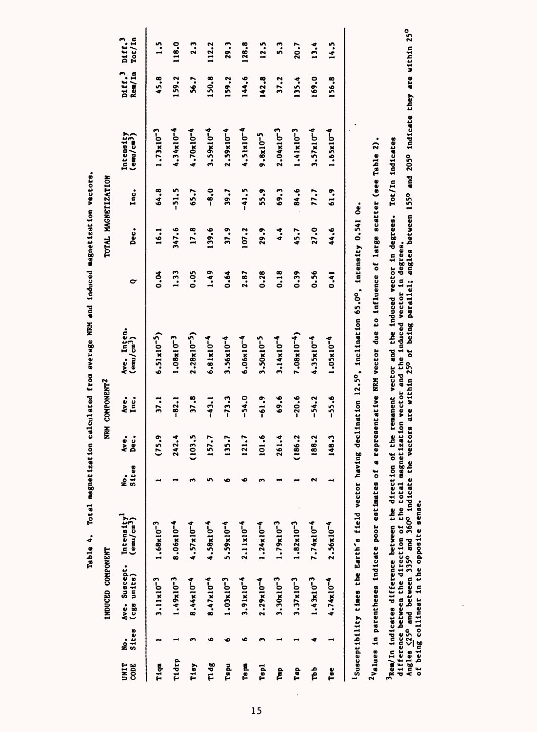|              |                 | INDUCED COMPONENT            |                                                |                        |              | NRM COMPONENT <sup>2</sup> |                                                                                                                                   |                      | TOTAL MAGNETIZATION |             |                                     |                              |                              |
|--------------|-----------------|------------------------------|------------------------------------------------|------------------------|--------------|----------------------------|-----------------------------------------------------------------------------------------------------------------------------------|----------------------|---------------------|-------------|-------------------------------------|------------------------------|------------------------------|
| UNIT<br>CODE | Sites<br>。<br>2 | Ave. Suscept.<br>(cgs units) | $\frac{\text{Intensity}^1}{\text{(emu/cm}^3)}$ | <b>Sites</b><br>。<br>是 | Dec.<br>Ave. | Ave.<br>Inc.               | Ave. Inten.<br>$($ emu/cm <sup>3</sup> )                                                                                          | $\mathbf{\tilde{c}}$ | Dec.                | Inc.        | Intensity<br>(emu/cm <sup>3</sup> ) | biff. <sup>3</sup><br>Rem/In | Tot/In<br>biff. <sup>3</sup> |
| Tiqm         |                 | $3.11 \times 10^{-3}$        | $1.68x10^{-3}$                                 |                        | (75.9        | 37.1                       | $6.51 \times 10^{-5}$                                                                                                             | 0.04                 | 16.1                | 64.8        | $1.73 \times 10^{-3}$               | 45.8                         | $\ddot{.}$                   |
| Tidrp        |                 | $1.49x10^{-3}$               | $8.06x10^{-4}$                                 |                        | 242.4        | $-82.1$                    | $1.08x10^{-3}$                                                                                                                    | 1.33                 | 347.6               | $-51.5$     | $4.34x10^{-4}$                      | 159.2                        | 118.0                        |
| Tisy         |                 | $8.44x10^{-4}$               | $4.57 \times 10^{-4}$                          |                        | (103.5)      | 37.8                       | $2.28 \times 10^{-5}$                                                                                                             | 0.05                 | 17.8                | 65.7        | $4.70x10^{-4}$                      | 56.7                         | 2.3                          |
| Tldg         | ٠               | $8.47 \times 10^{-4}$        | $4.58x10^{-4}$                                 |                        | 157.7        | $-43.1$                    | $6.81x10^{-4}$                                                                                                                    | 1.49                 | 139.6               | $-8.0$      | $3.59x10^{-4}$                      | 150.8                        | 112.2                        |
| Tspu         | ٠               | $1.03 \times 10^{-3}$        | $5.59 \times 10^{-4}$                          |                        | 135.7        | $-73.3$                    | $3.56x10^{-4}$                                                                                                                    | 0.64                 | 37.9                | <b>1.65</b> | $2.59x10^{-4}$                      | 159.2                        | 29.3                         |
| Ts pn        | ٠               | $3.91x10^{-4}$               | $2.11 \times 10^{-4}$                          |                        | 121.7        | $-54.0$                    | $6.06x10^{-4}$                                                                                                                    | 2.87                 | 107.2               | $-41.5$     | $4.51x10^{-4}$                      | 144.6                        | 128.8                        |
| Tspl         |                 | $2.29x10^{-4}$               | $1.24x10^{-4}$                                 |                        | 101.6        | $-61.9$                    | $3.50x10^{-5}$                                                                                                                    | 0.28                 | 29.9                | 55.9        | $9.8x10^{-5}$                       | 142.8                        | 12.5                         |
| È            |                 | $3.30x10^{-3}$               | $1.79x10^{-3}$                                 |                        | 261.4        | 69.6                       | $3.14 \times 10^{-4}$                                                                                                             | 0.18                 | 4.4                 | 69.3        | $2.04x10^{-3}$                      | 37.2                         | 5.3                          |
| Tap          |                 | $3.37 \times 10^{-3}$        | $1.82 \times 10^{-3}$                          |                        | (186.2       | $-20.6$                    | $7.08x10^{-4}$                                                                                                                    | 0.39                 | 45.7                | 84.6        | $1.41x10^{-3}$                      | 135.4                        | 20.7                         |
| Tbb          | ¢               | $1.43x10^{-3}$               | $7.74x10^{-4}$                                 | ິ                      | 188.2        | $-54.2$                    | 4.35x10 <sup>-4</sup>                                                                                                             | 0.56                 | 27.0                | 77.7        | $3.57x10^{-4}$                      | 169.0                        | 13.4                         |
| Tse          |                 | $4.74 \times 10^{-4}$        | $2.56x10^{-4}$                                 |                        | 148.3        | $-55.6$                    | $1.05x10^{-4}$                                                                                                                    | 0.41                 | 44.6                | 61.9        | $1.65x10^{-4}$                      | 156.8                        | 14.5                         |
|              |                 |                              |                                                |                        |              |                            | <sup>1</sup> Susceptibility times the Earth's field vector having declination 12.5°, inclination 65.0°, intensity 0.541 Oe.       |                      |                     |             |                                     |                              |                              |
|              |                 |                              |                                                |                        |              |                            | $2$ Values in parentheses indicate poor estimates of a representative NRM vector due to influence of large scatter (see Table 2). |                      |                     |             |                                     |                              |                              |

**induced magnetization vectors.**  Table 4. Total magnetization calculated from average NRM and induced magnetization vectors. **magnetization calculated from average NRM and Table 4. Total** 

**Angles j(250 and between 335° and 360° Indicate the vectors are within 25° of being parallel; angles between 155° and 205° Indicate they are within 25° Jem/In indicates difference between the direction of the remanent vector and the induced vector in degrees. Tot/In indicates<br>difference between the direction of the total magnetization vector and the induced vector in deg 3Rem/In Indicates difference between the direction of the remanent vector and the Induced vector In degrees. Tot/In Indicates difference between the direction of the total magnetization vector and the Induced vector In degrees. of being colllnear in the opposite sense.**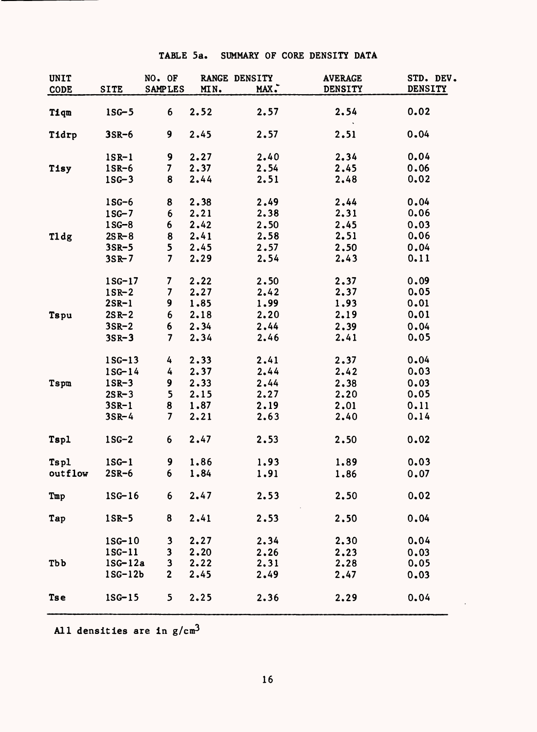|  | TABLE 5a. SUMMARY OF CORE DENSITY DATA |  |  |
|--|----------------------------------------|--|--|
|  |                                        |  |  |

| <b>UNIT</b><br>CODE | <b>SITE</b>  | NO. OF<br><b>SAMPLES</b> | MIN. | RANGE DENSITY<br>MAX. | <b>AVERAGE</b><br><b>DENSITY</b> | STD. DEV.<br><b>DENSITY</b> |
|---------------------|--------------|--------------------------|------|-----------------------|----------------------------------|-----------------------------|
| Tiqm                | $1SG-5$      | 6                        | 2.52 | 2.57                  | 2.54                             | 0.02                        |
| Tidrp               | $3SR-6$      | 9                        | 2.45 | 2.57                  | 2.51                             | 0.04                        |
|                     | $lSR-1$      | 9                        | 2.27 | 2.40                  | 2.34                             | 0.04                        |
| Tisy                | $1$ SR-6     | 7                        | 2.37 | 2.54                  | 2.45                             | 0.06                        |
|                     | $1SC-3$      | 8                        | 2.44 | 2.51                  | 2.48                             | 0.02                        |
|                     | $1SC-6$      | 8                        | 2.38 | 2.49                  | 2.44                             | 0.04                        |
|                     | $1SG-7$      | 6                        | 2.21 | 2.38                  | 2.31                             | 0.06                        |
|                     | $1SG-8$      | 6                        | 2.42 | 2.50                  | 2.45                             | 0.03                        |
| Tldg                | $2S R - 8$   | 8                        | 2.41 | 2.58                  | 2.51                             | 0.06                        |
|                     | $3SR-5$      | 5                        | 2.45 | 2.57                  | 2.50                             | 0.04                        |
|                     | $3S_{R} - 7$ | $\overline{7}$           | 2.29 | 2.54                  | 2.43                             | 0.11                        |
|                     | $1SG-17$     | 7                        | 2.22 | 2.50                  | 2.37                             | 0.09                        |
|                     | $1$ SR-2     | 7                        | 2.27 | 2.42                  | 2.37                             | 0.05                        |
|                     | $2$ SR-1     | 9                        | 1.85 | 1.99                  | 1.93                             | 0.01                        |
| Tspu                | $2S_{R-2}$   | 6                        | 2.18 | 2.20                  | 2.19                             | 0.01                        |
|                     | $3SR-2$      | 6                        | 2.34 | 2.44                  | 2.39                             | 0.04                        |
|                     | $3S_R - 3$   | $\overline{\mathbf{7}}$  | 2.34 | 2.46                  | 2.41                             | 0.05                        |
|                     | $1SC-13$     | 4                        | 2.33 | 2.41                  | 2.37                             | 0.04                        |
|                     | $1SG-14$     | 4                        | 2.37 | 2.44                  | 2.42                             | 0.03                        |
| <b>Tspm</b>         | $1$ SR-3     | 9                        | 2.33 | 2.44                  | 2.38                             | 0.03                        |
|                     | $2S_{R-3}$   | 5                        | 2.15 | 2.27                  | 2.20                             | 0.05                        |
|                     | $3S_{R-1}$   | 8                        | 1.87 | 2.19                  | 2.01                             | 0.11                        |
|                     | $3S_{R-4}$   | 7                        | 2.21 | 2.63                  | 2.40                             | 0.14                        |
| Tspl                | $1SG-2$      | 6                        | 2.47 | 2.53                  | 2.50                             | 0.02                        |
| <b>Tspl</b>         | $1SG-1$      | 9                        | 1.86 | 1.93                  | 1.89                             | 0.03                        |
| outflow             | $2SR-6$      | 6                        | 1.84 | 1.91                  | 1.86                             | 0.07                        |
| Tmp                 | $1SG-16$     | 6                        | 2.47 | 2.53                  | 2.50                             | 0.02                        |
| Tap                 | $1$ SR-5     | 8                        | 2.41 | 2.53                  | 2.50                             | 0.04                        |
|                     | $1SG-10$     | 3                        | 2.27 | 2.34                  | 2.30                             | 0.04                        |
|                     | $1SG-11$     | 3                        | 2.20 | 2.26                  | 2.23                             | 0.03                        |
| <b>Tbb</b>          | $1SG-12a$    | $\mathbf{3}$             | 2.22 | 2.31                  | 2.28                             | 0.05                        |
|                     | $1SG-12b$    | $\mathbf{2}$             | 2.45 | 2.49                  | 2.47                             | 0.03                        |
| <b>Tse</b>          | $1SG-15$     | 5                        | 2.25 | 2.36                  | 2.29                             | 0.04                        |

All densities are in  $g/cm<sup>3</sup>$ 

 $\bar{\beta}$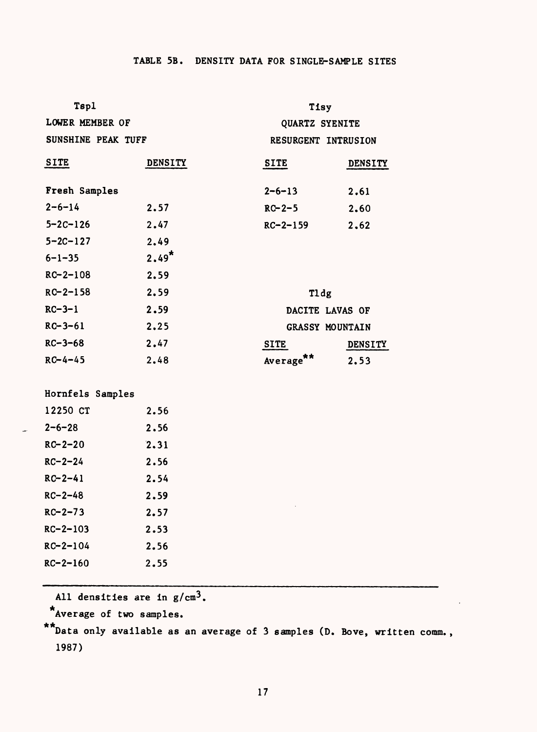# TABLE 5B. DENSITY DATA FOR SINGLE-SAMPLE SITES

| Tspl               |                | Tisy                  |                |  |
|--------------------|----------------|-----------------------|----------------|--|
| LOWER MEMBER OF    |                | QUARTZ SYENITE        |                |  |
| SUNSHINE PEAK TUFF |                | RESURGENT INTRUSION   |                |  |
| <b>SITE</b>        | <b>DENSITY</b> | SITE                  | <b>DENSITY</b> |  |
| Fresh Samples      |                | $2 - 6 - 13$          | 2.61           |  |
| $2 - 6 - 14$       | 2.57           | $RC - 2 - 5$          | 2.60           |  |
| $5 - 2C - 126$     | 2.47           | $RC - 2 - 159$        | 2,62           |  |
| $5 - 2C - 127$     | 2.49           |                       |                |  |
| $6 - 1 - 35$       | $2.49*$        |                       |                |  |
| $RC - 2 - 108$     | 2.59           |                       |                |  |
| $RC - 2 - 158$     | 2.59           | Tldg                  |                |  |
| $RC - 3 - 1$       | 2.59           | DACITE LAVAS OF       |                |  |
| $RC - 3 - 61$      | 2.25           | GRASSY MOUNTAIN       |                |  |
| $RC - 3 - 68$      | 2.47           | <b>SITE</b>           | <b>DENSITY</b> |  |
| $RC - 4 - 45$      | 2.48           | Average <sup>**</sup> | 2.53           |  |
|                    |                |                       |                |  |
| Hornfels Samples   |                |                       |                |  |
| 12250 CT           | 2.56           |                       |                |  |
| $2 - 6 - 28$       | 2.56           |                       |                |  |
| $RC - 2 - 20$      | 2.31           |                       |                |  |
| $RC - 2 - 24$      | 2.56           |                       |                |  |
| $RC - 2 - 41$      | 2.54           |                       |                |  |
| $RC - 2 - 48$      | 2.59           |                       |                |  |
| $RC - 2 - 73$      | 2.57           |                       |                |  |
| $RC - 2 - 103$     | 2.53           |                       |                |  |
| $RC - 2 - 104$     | 2.56           |                       |                |  |
| $RC - 2 - 160$     | 2.55           |                       |                |  |
|                    |                |                       |                |  |

All densities are in  $g/cm^3$ .

Average of two samples.

\*\*Data only available as an average of 3 samples (D. Bove, written comm., 1987)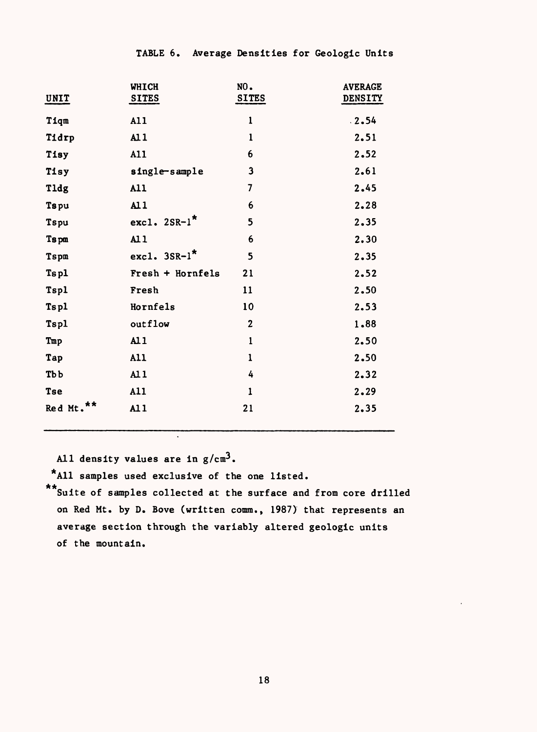| UNIT                  | <b>WHICH</b><br><b>SITES</b> | NO.<br><b>SITES</b> | <b>AVERAGE</b><br><b>DENSITY</b> |
|-----------------------|------------------------------|---------------------|----------------------------------|
| Tiqm                  | A11                          | $\mathbf{1}$        | .2.54                            |
| Tidrp                 | AL1                          | $\mathbf{1}$        | 2.51                             |
| Tisy                  | A11                          | 6                   | 2.52                             |
| Tisy                  | single-sample                | 3                   | 2.61                             |
| Tldg                  | A11                          | $\overline{7}$      | 2.45                             |
| Tspu                  | AL1                          | 6                   | 2.28                             |
| Tspu                  | excl. $2SR-1$ <sup>*</sup>   | 5                   | 2.35                             |
| Ts pm                 | AL1                          | 6                   | 2.30                             |
| Tspm                  | excl. $3SR-l^*$              | 5                   | 2.35                             |
| Tspl                  | Fresh + Hornfels             | 21                  | 2.52                             |
| Tspl                  | Fresh                        | 11                  | 2.50                             |
| Tspl                  | Hornfels                     | 10                  | 2.53                             |
| Tspl                  | outflow                      | $\mathbf{2}$        | 1.88                             |
| Tmp                   | AI1                          | 1                   | 2.50                             |
| Tap                   | A11                          | $\mathbf{1}$        | 2.50                             |
| <b>Tbb</b>            | AL1                          | 4                   | 2.32                             |
| <b>Tse</b>            | A11                          | 1                   | 2.29                             |
| Red Mt. <sup>**</sup> | A11                          | 21                  | 2.35                             |

TABLE 6. Average Densities for Geologic Units

All density values are in  $g/cm<sup>3</sup>$ .

All samples used exclusive of the one listed.

 $\ddot{\phantom{a}}$ 

\*\* Suite of samples collected at the surface and from core drilled on Red Mt. by D. Bove (written comm., 1987) that represents an average section through the variably altered geologic units of the mountain.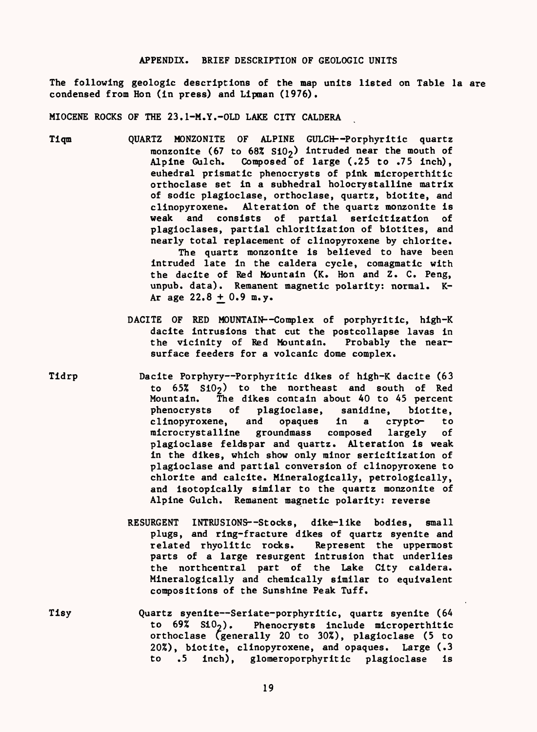### APPENDIX. BRIEF DESCRIPTION OF GEOLOGIC UNITS

The following geologic descriptions of the map units listed on Table la are condensed from Ron (in press) and Lipman (1976).

MIOCENE ROCKS OF THE 23.1-M.Y.-OLD LAKE CITY CALDERA

- Tiqm QUARTZ MONZONITE OF ALPINE GULCH Porphyritic quartz monzonite (67 to 68%  $\text{SiO}_2$ ) intruded near the mouth of<br>Alpine Gulch. Composed of large (.25 to .75 inch). Composed of large  $(.25$  to  $.75$  inch), euhedral prismatic phenocrysts of pink microperthitic orthoclase set in a subhedral holocrystalline matrix of sodic plagioclase, orthoclase, quartz, biotite, and clinopyroxene. Alteration of the quartz monzonite is weak and consists of partial sericitization of plagioclases, partial chloritization of biotites, and nearly total replacement of clinopyroxene by chlorite. The quartz monzonite is believed to have been intruded late in the caldera cycle, comagmatic with the dacite of Red Mountain (K. Hon and Z. C. Peng, unpub. data). Remanent magnetic polarity: normal. K-Ar age  $22.8 + 0.9$  m.y.
	- DACITE OF RED MOUNTAIN--Complex of porphyritic, high-K dacite intrusions that cut the postcollapse lavas in<br>the vicinity of Red Mountain. Probably the nearthe vicinity of Red Mountain. surface feeders for a volcanic dome complex.
- Tidrp Dacite Porphyry Porphyritic dikes of high-K dacite (63 to  $65\%$   $S10<sub>2</sub>$ ) to the northeast and south of Red Mountain. The dikes contain about 40 to 45 percent phenocrysts of plagioclase, sanidine, biotite, clinopyroxene, and opaques in a crypto- to microcrystalline groundmass composed largely of plagioclase feldspar and quartz. Alteration is weak in the dikes, which show only minor sericitization of plagioclase and partial conversion of clinopyroxene to chlorite and calcite. Mineralogically, petrologically, and isotopically similar to the quartz monzonite of Alpine Gulch. Remanent magnetic polarity: reverse
	- RESURGENT INTRUSIONS--Stocks, dike-like bodies, small plugs, and ring-fracture dikes of quartz syenite and related rhyolitic rocks. Represent the uppermost parts of a large resurgent intrusion that underlies the northcentral part of the Lake City caldera. Mineralogically and chemically similar to equivalent compositions of the Sunshine Peak Tuff.
- Tisy **Quartz syenite--Seriate-porphyritic, quartz syenite (64** to  $69\%$  SiO<sub>2</sub>). Phenocrysts include microperthitic orthoclase (generally 20 to 30%), plagioclase (5 to 20%), biotite, clinopyroxene, and opaques. Large (.3 to .5 inch), glomeroporphyritic plagioclase is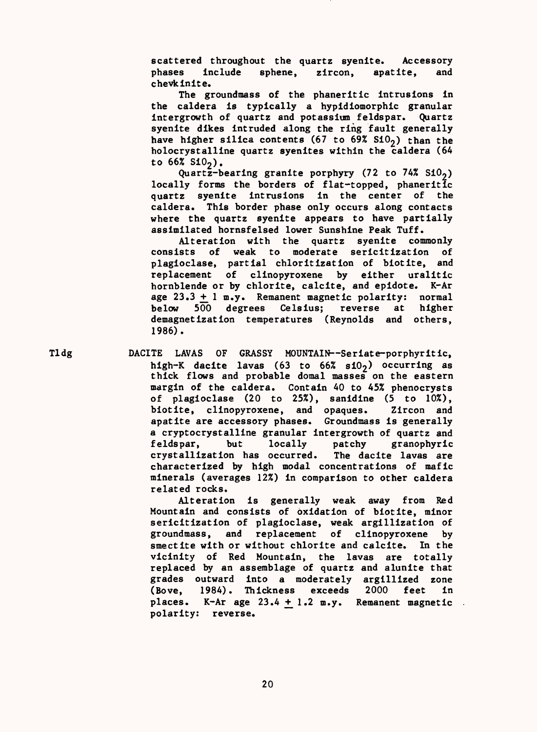scattered throughout the quartz syenite. Accessory phases include sphene, zircon, apatite, and chevkinite.

The groundmass of the phaneritic intrusions in the caldera is typically a hypidiomorphic granular intergrowth of quartz and potassium feldspar. Quartz syenite dikes intruded along the ring fault generally have higher silica contents (67 to 69%  $S10<sub>2</sub>$ ) than the holocrystalline quartz syenites within the caldera (64 to  $66\%$  Si $0_2$ ).

Quartz-bearing granite porphyry  $(72 \text{ to } 74\% \text{ } *S*10<sub>2</sub>)$ locally forms the borders of flat-topped, phaneritic quartz syenite intrusions in the center of the caldera. This border phase only occurs along contacts where the quartz syenite appears to have partially assimilated hornsfelsed lower Sunshine Peak Tuff.

Alteration with the quartz syenite commonly consists of weak to moderate sericitization of plagioclase, partial chloritization of biotite, and replacement of clinopyroxene by either uralitic hornblende or by chlorite, calcite, and epidote. K-Ar age  $23.3 + 1$  m.y. Remanent magnetic polarity: normal below 500 degrees Celsius; reverse at higher demagnetization temperatures (Reynolds and others, 1986).

Tldg DACITE LAVAS OF GRASSY MOUNTAIN-Seriate-porphyritic, high-K dacite lavas (63 to 66%  $s10<sub>2</sub>$ ) occurring as thick flows and probable domal masses on the eastern margin of the caldera. Contain 40 to 45% phenocrysts of plagioclase (20 to 25%), sanidine (5 to 10%), biotite, clinopyroxene, and opaques. Zircon and apatite are accessory phases. Groundmass is generally a cryptocrystalline granular intergrowth of quartz and feldspar, but locally patchy granophyric crystallization has occurred. The dacite lavas are characterized by high modal concentrations of mafic minerals (averages 12%) in comparison to other caldera related rocks.

> Alteration is generally weak away from Red Mountain and consists of oxidation of biotite, minor sericitization of plagioclase, weak argillization of groundmass, and replacement of clinopyroxene by smectite with or without chlorite and calcite. In the vicinity of Red Mountain, the lavas are totally replaced by an assemblage of quartz and alunite that grades outward into a moderately argillized zone (Bove, 1984). Thickness exceeds 2000 feet in places. K-Ar age  $23.4 + 1.2$  m.y. Remanent magnetic. polarity: reverse.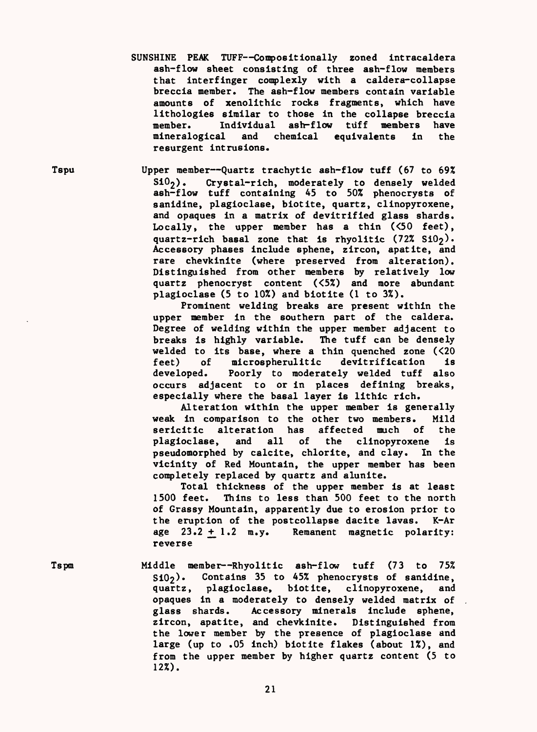SUNSHINE PEAK TUFF--Compositionally zoned intracaldera ash-flow sheet consisting of three ash-flow members that interfinger complexly with a caldera-collapse breccia member. The ash-flow members contain variable amounts of xenolithic rocks fragments, which have lithologies similar to those in the collapse breccia member. Individual ash-flow tuff members have mineralogical and chemical equivalents in the resurgent intrusions.

Tspu Upper member--Quartz trachytic ash-flow tuff (67 to 69%<br>Si0<sub>2</sub>). Crystal-rich, moderately to densely welded Crystal-rich, moderately to densely welded ash-flow tuff containing 45 to 50% phenocrysts of sanidine, plagioclase, biotite, quartz, clinopyroxene, and opaques in a matrix of devitrified glass shards. Locally, the upper member has a thin  $(50$  feet). quartz-rich basal zone that is rhyolitic  $(72\% Si0<sub>2</sub>)$ . Accessory phases include sphene, zircon, apatite, and rare chevkinite (where preserved from alteration). Distinguished from other members by relatively low quartz phenocryst content  $(52)$  and more abundant plagioclase (5 to 10%) and biotite (1 to 3%).

Prominent welding breaks are present within the upper member in the southern part of the caldera. Degree of welding within the upper member adjacent to breaks is highly variable. The tuff can be densely welded to its base, where a thin quenched zone  $(520$ <br>feet) of microspherulitic devitrification is microspherulitic developed. Poorly to moderately welded tuff also occurs adjacent to or in places defining breaks, especially where the basal layer is llthic rich.

Alteration within the upper member is generally weak in comparison to the other two members. Mild serlcitic alteration has affected much of the plagioclase, and all of the clinopyroxene is pseudomorphed by calcite, chlorite, and clay. In the vicinity of Red Mountain, the upper member has been completely replaced by quartz and alunlte.

Total thickness of the upper member is at least 1500 feet. Thins to less than 500 feet to the north of Grassy Mountain, apparently due to erosion prior to the eruption of the postcollapse dacite lavas. K-Ar<br>age  $23.2 \pm 1.2$  m.y. Remanent magnetic polarity: Remanent magnetic polarity: reverse

Tspm Middle member Rhyolitic ash-flow tuff (73 to 75%  $S10<sub>2</sub>$ ). Contains 35 to 45% phenocrysts of sanidine, quartz, plagioclase, biotite, clinopyroxene, and opaques in a moderately to densely welded matrix of .<br>glass shards. Accessory minerals include sphene, Accessory minerals include sphene, zircon, apatite, and chevkinite. Distinguished from the lower member by the presence of plagioclase and large (up to .05 inch) biotite flakes (about 1%), and from the upper member by higher quartz content (5 to 12%).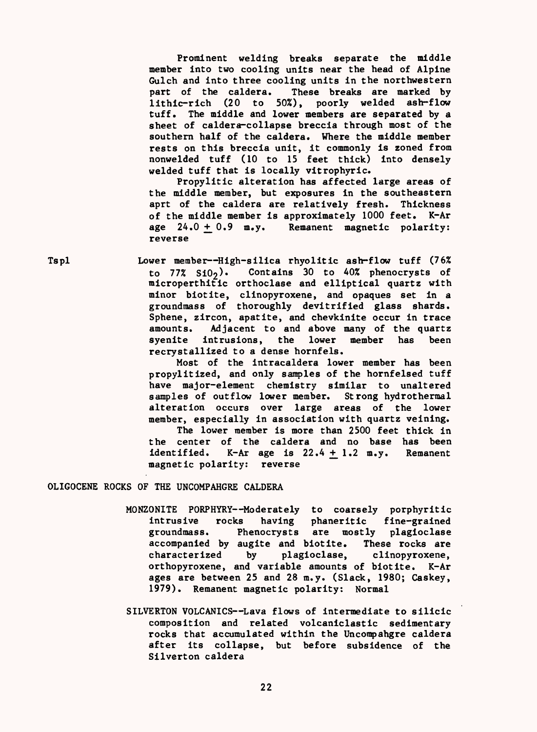Prominent welding breaks separate the middle member Into two cooling units near the head of Alpine Gulch and into three cooling units In the northwestern part of the caldera. These breaks are marked by llthic-rlch (20 to 50%), poorly welded ash-flow tuff. The middle and lower members are separated by a sheet of caldera-collapse breccia through most of the southern half of the caldera. Where the middle member rests on this breccia unit, It commonly Is zoned from nonwelded tuff (10 to 15 feet thick) Into densely welded tuff that is locally vitrophyric.

Propylitic alteration has affected large areas of the middle member, but exposures In the southeastern aprt of the caldera are relatively fresh. Thickness of the middle member Is approximately 1000 feet. K-Ar age  $24.0 + 0.9$  m.y. Remanent magnetic polarity: reverse

Tspl Lower member High-silica rhyolitic ash-flow tuff (76% to  $77\%$  Si $0_2$ ). Contains 30 to 40% phenocrysts of mlcroperthltic orthoclase and elliptical quartz with minor blotite, clinopyroxene, and opaques set in a groundmass of thoroughly devitrified glass shards. Sphene, zircon, apatite, and chevkinite occur in trace<br>amounts. Adjacent to and above many of the quartz Adjacent to and above many of the quartz syenite intrusions, the lower member has been recrystalllzed to a dense hornfels.

> Most of the intracaldera lower member has been propylitized, and only samples of the hornfelsed tuff have major-element chemistry similar to unaltered<br>samples of outflow lower member. Strong hydrothermal samples of outflow lower member. alteration occurs over large areas of the lower member, especially in association with quartz velning. The lower member is more than 2500 feet thick in the center of the caldera and no base has been identified. K-Ar age is  $22.4 + 1.2$  m.y. Remanent magnetic polarity: reverse

OLIGOCENE ROCKS OF THE UNCOMPAHGRE CALDERA

- MONZONITE PORPHYRY--Moderately to coarsely porphyritic intrusive rocks having phaneritic fine-grained groundmass. Phenocrysts are mostly plagioclase accompanied by auglte and blotite. These rocks are characterized by plagioclase, clinopyroxene, orthopyroxene, and variable amounts of blotite. K-Ar ages are between 25 and 28 m.y. (Slack, 1980; Caskey, 1979). Remanent magnetic polarity: Normal
- SILVERTON VOLCANICS--Lava flows of intermediate to silicic composition and related volcanlclastic sedimentary rocks that accumulated within the Uncompahgre caldera after its collapse, but before subsidence of the Silverton caldera